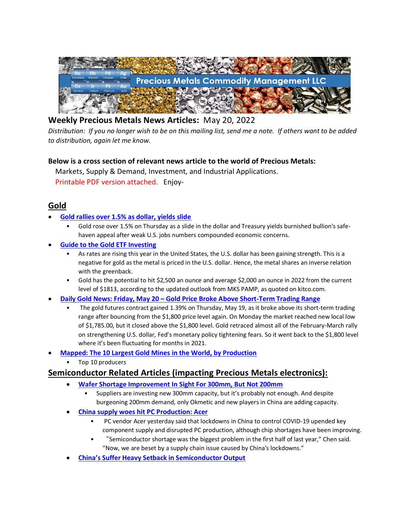

# **Weekly Precious Metals News Articles:** May 20, 2022

*Distribution: If you no longer wish to be on this mailing list, send me a note. If others want to be added to distribution, again let me know.*

### **Below is a cross section of relevant news article to the world of Precious Metals:**

 Markets, Supply & Demand, Investment, and Industrial Applications. Printable PDF version attached. Enjoy-

## **Gold**

- **[Gold rallies over 1.5% as dollar, yields slide](https://www.nasdaq.com/articles/precious-gold-rallies-over-1.5-as-dollar-yields-slide)**
	- Gold rose over 1.5% on Thursday as a slide in the dollar and Treasury yields burnished bullion's safehaven appeal after weak U.S. jobs numbers compounded economic concerns.
- **[Guide to the Gold ETF Investing](https://www.nasdaq.com/articles/guide-to-the-gold-etf-investing)**
	- As rates are rising this year in the United States, the U.S. dollar has been gaining strength. This is a negative for gold as the metal is priced in the U.S. dollar. Hence, the metal shares an inverse relation with the greenback.
	- Gold has the potential to hit \$2,500 an ounce and average \$2,000 an ounce in 2022 from the current level of \$1813, according to the updated outlook from MKS PAMP, as quoted on kitco.com.
- **Daily Gold News: Friday, May 20 – [Gold Price Broke Above Short-Term Trading Range](https://finance.yahoo.com/news/daily-gold-news-friday-may-114300527.html)**
	- The gold futures contract gained 1.39% on Thursday, May 19, as it broke above its short-term trading range after bouncing from the \$1,800 price level again. On Monday the market reached new local low of \$1,785.00, but it closed above the \$1,800 level. Gold retraced almost all of the February-March rally on strengthening U.S. dollar, Fed's monetary policy tightening fears. So it went back to the \$1,800 level where it's been fluctuating for months in 2021.
- **[Mapped: The 10 Largest Gold Mines in the World, by Production](https://elements.visualcapitalist.com/largest-gold-mines-by-production/)**
	- Top 10 producers

## **Semiconductor Related Articles (impacting Precious Metals electronics):**

- **[Wafer Shortage Improvement In Sight For 300mm, But Not 200mm](https://semiengineering.com/wafer-shortage-improvement-in-sight-for-300mm-but-not-200mm/)**
	- Suppliers are investing new 300mm capacity, but it's probably not enough. And despite burgeoning 200mm demand, only Okmetic and new players in China are adding capacity.
- **[China supply woes hit PC Production:](https://www.taipeitimes.com/News/biz/archives/2022/05/20/2003778485) Acer**
	- PC vendor Acer yesterday said that lockdowns in China to control COVID-19 upended key component supply and disrupted PC production, although chip shortages have been improving.
	- "Semiconductor shortage was the biggest problem in the first half of last year," Chen said. "Now, we are beset by a supply chain issue caused by China's lockdowns."
- **[China's Suffer Heavy Setback in Semiconductor Output](https://www.eletimes.com/chinas-suffer-heavy-setback-in-semiconductor-output)**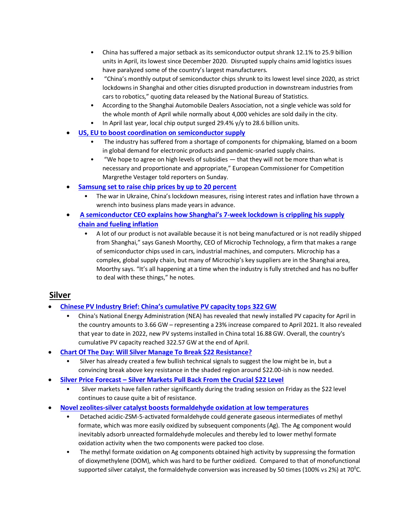- China has suffered a major setback as its semiconductor output shrank 12.1% to 25.9 billion units in April, its lowest since December 2020. Disrupted supply chains amid logistics issues have paralyzed some of the country's largest manufacturers.
- "China's monthly output of semiconductor chips shrunk to its lowest level since 2020, as strict lockdowns in Shanghai and other cities disrupted production in downstream industries from cars to robotics," quoting data released by the National Bureau of Statistics.
- According to the Shanghai Automobile Dealers Association, not a single vehicle was sold for the whole month of April while normally about 4,000 vehicles are sold daily in the city.
- In April last year, local chip output surged 29.4% y/y to 28.6 billion units.
- **[US, EU to boost coordination on semiconductor supply](https://www.taipeitimes.com/News/biz/archives/2022/05/17/2003778299)**
	- The industry has suffered from a shortage of components for chipmaking, blamed on a boom in global demand for electronic products and pandemic-snarled supply chains.
	- "We hope to agree on high levels of subsidies that they will not be more than what is necessary and proportionate and appropriate," European Commissioner for Competition Margrethe Vestager told reporters on Sunday.
- **[Samsung set to raise chip prices by up to 20 percent](https://www.taipeitimes.com/News/biz/archives/2022/05/14/2003778164)**
	- The war in Ukraine, China's lockdown measures, rising interest rates and inflation have thrown a wrench into business plans made years in advance.
- **[A semiconductor CEO explains how Shanghai's 7](https://fortune.com/2022/05/14/china-covid-lockdown-shanghai-supply-chain-inflation-semiconductor-shortage/)-week lockdown is crippling his supply [chain and fueling inflation](https://fortune.com/2022/05/14/china-covid-lockdown-shanghai-supply-chain-inflation-semiconductor-shortage/)**
	- A lot of our product is not available because it is not being manufactured or is not readily shipped from Shanghai," says Ganesh Moorthy, CEO of Microchip Technology, a firm that makes a range of semiconductor chips used in cars, industrial machines, and computers. Microchip has a complex, global supply chain, but many of Microchip's key suppliers are in the Shanghai area, Moorthy says. "It's all happening at a time when the industry is fully stretched and has no buffer to deal with these things," he notes.

## **Silver**

- **[Chinese PV Industry Brief: China's cumulative PV capacity top](https://www.pv-magazine.com/2022/05/20/chinese-pv-industry-brief-chinas-cumulative-pv-capacity-tops-322-gw/)s 322 GW**
	- China's National Energy Administration (NEA) has revealed that newly installed PV capacity for April in the country amounts to 3.66 GW – representing a 23% increase compared to April 2021. It also revealed that year to date in 2022, new PV systems installed in China total 16.88 GW. Overall, the country's cumulative PV capacity reached 322.57 GW at the end of April.
- **[Chart Of The Day: Will Silver Manage To Break \\$22 Resistance?](https://za.investing.com/analysis/chart-of-the-day-will-silver-manage-to-break-22-resistance-200512049)**
	- Silver has already created a few bullish technical signals to suggest the low might be in, but a convincing break above key resistance in the shaded region around \$22.00-ish is now needed.
- **Silver Price Forecast – [Silver Markets Pull Back From the Crucial \\$22 Level](https://www.fxempire.com/forecasts/article/silver-price-forecast-silver-markets-pull-back-from-the-crucial-22-level-1008614)**
	- Silver markets have fallen rather significantly during the trading session on Friday as the \$22 level continues to cause quite a bit of resistance.
- **[Novel zeolites-silver catalyst boosts formaldehyde oxidation at low temperatures](https://phys.org/news/2022-05-zeolites-silver-catalyst-boosts-formaldehyde-oxidation.html)**
	- Detached acidic-ZSM-5-activated formaldehyde could generate gaseous intermediates of methyl formate, which was more easily oxidized by subsequent components (Ag). The Ag component would inevitably adsorb unreacted formaldehyde molecules and thereby led to lower methyl formate oxidation activity when the two components were packed too close.
	- The methyl formate oxidation on Ag components obtained high activity by suppressing the formation of dioxymethylene (DOM), which was hard to be further oxidized. Compared to that of monofunctional supported silver catalyst, the formaldehyde conversion was increased by 50 times (100% vs 2%) at 70<sup>o</sup>C.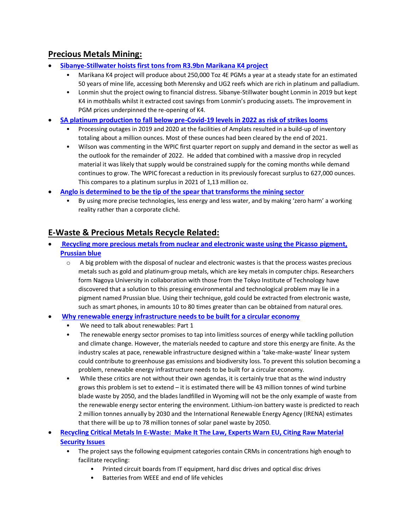# **Precious Metals Mining:**

- **[Sibanye-Stillwater hoists first tons from R3.9bn Marikana K4 project](https://www.miningmx.com/trending/49526-sibanye-stillwater-hoists-first-tons-from-r3-9bn-marikana-k4-project/)**
	- Marikana K4 project will produce about 250,000 Toz 4E PGMs a year at a steady state for an estimated 50 years of mine life, accessing both Merensky and UG2 reefs which are rich in platinum and palladium.
	- Lonmin shut the project owing to financial distress. Sibanye-Stillwater bought Lonmin in 2019 but kept K4 in mothballs whilst it extracted cost savings from Lonmin's producing assets. The improvement in PGM prices underpinned the re-opening of K4.
- **[SA platinum production to fall below pre-Covid-19 levels in 2022 as risk of strikes looms](https://www.miningmx.com/news/platinum/49529-sa-platinum-production-to-fall-below-pre-covid-19-levels-in-2022-as-risk-of-strikes-looms/)**
	- Processing outages in 2019 and 2020 at the facilities of Amplats resulted in a build-up of inventory totaling about a million ounces. Most of these ounces had been cleared by the end of 2021.
	- Wilson was commenting in the WPIC first quarter report on supply and demand in the sector as well as the outlook for the remainder of 2022. He added that combined with a massive drop in recycled material it was likely that supply would be constrained supply for the coming months while demand continues to grow. The WPIC forecast a reduction in its previously forecast surplus to 627,000 ounces. This compares to a platinum surplus in 2021 of 1,13 million oz.
- **[Anglo is determined to be the tip of the spear that transforms the mining sector](https://www.moneyweb.co.za/in-depth/anglo-american/anglo-is-determined-to-be-the-tip-of-the-spear-that-transforms-the-mining-sector/)**
	- By using more precise technologies, less energy and less water, and by making 'zero harm' a working reality rather than a corporate cliché.

# **E-Waste & Precious Metals Recycle Related:**

- **[Recycling more precious metals from nuclear and electronic waste using the Picasso pigment,](https://phys.org/news/2022-05-recycling-precious-metals-nuclear-electronic.html)  [Prussian blue](https://phys.org/news/2022-05-recycling-precious-metals-nuclear-electronic.html)**
	- $\circ$  A big problem with the disposal of nuclear and electronic wastes is that the process wastes precious metals such as gold and platinum-group metals, which are key metals in computer chips. Researchers form Nagoya University in collaboration with those from the Tokyo Institute of Technology have discovered that a solution to this pressing environmental and technological problem may lie in a pigment named Prussian blue. Using their technique, gold could be extracted from electronic waste, such as smart phones, in amounts 10 to 80 times greater than can be obtained from natural ores.

### • **[Why renewable energy infrastructure needs to be built for a circular economy](https://ellenmacarthurfoundation.org/we-need-to-talk-about-renewables/part-1)**

- We need to talk about renewables: Part 1
- The renewable energy sector promises to tap into limitless sources of energy while tackling pollution and climate change. However, the materials needed to capture and store this energy are finite. As the industry scales at pace, renewable infrastructure designed within a 'take-make-waste' linear system could contribute to greenhouse gas emissions and biodiversity loss. To prevent this solution becoming a problem, renewable energy infrastructure needs to be built for a circular economy.
- While these critics are not without their own agendas, it is certainly true that as the wind industry grows this problem is set to extend – it is estimated there will be 43 million tonnes of wind turbine blade waste by 2050, and the blades landfilled in Wyoming will not be the only example of waste from the renewable energy sector entering the environment. Lithium-ion battery waste is predicted to reach 2 million tonnes annually by 2030 and the International Renewable Energy Agency (IRENA) estimates that there will be up to 78 million tonnes of solar panel waste by 2050.
- **Recycling Critical Metals [In E-Waste: Make It The Law, Experts](https://cewaste.eu/recycling-critical-metals-in-e-waste/) Warn EU, Citing Raw Material [Security Issues](https://cewaste.eu/recycling-critical-metals-in-e-waste/)**
	- The project says the following equipment categories contain CRMs in concentrations high enough to facilitate recycling:
		- Printed circuit boards from IT equipment, hard disc drives and optical disc drives
		- Batteries from WEEE and end of life vehicles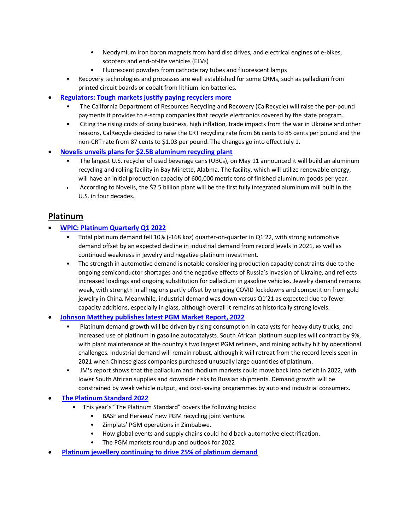- Neodymium iron boron magnets from hard disc drives, and electrical engines of e-bikes, scooters and end-of-life vehicles (ELVs)
- Fluorescent powders from cathode ray tubes and fluorescent lamps
- Recovery technologies and processes are well established for some CRMs, such as palladium from printed circuit boards or cobalt from lithium-ion batteries.
- **[Regulators: Tough markets justify paying recyclers more](https://resource-recycling.com/e-scrap/2022/05/19/regulators-tough-markets-justify-paying-recyclers-more/)**
	- The California Department of Resources Recycling and Recovery (CalRecycle) will raise the per-pound payments it provides to e-scrap companies that recycle electronics covered by the state program.
	- Citing the rising costs of doing business, high inflation, trade impacts from the war in Ukraine and other reasons, CalRecycle decided to raise the CRT recycling rate from 66 cents to 85 cents per pound and the non-CRT rate from 87 cents to \$1.03 per pound. The changes go into effect July 1.
- **[Novelis unveils plans for \\$2.5B aluminum recycling plant](https://wasteadvantagemag.com/novelis-plans-new-2-5-billion-aluminum-recycling-and-production-plant/)**
	- The largest U.S. recycler of used beverage cans (UBCs), on May 11 announced it will build an aluminum recycling and rolling facility in Bay Minette, Alabma. The facility, which will utilize renewable energy, will have an initial production capacity of 600,000 metric tons of finished aluminum goods per year.
	- According to Novelis, the \$2.5 billion plant will be the first fully integrated aluminum mill built in the U.S. in four decades.

### **Platinum**

### • **[WPIC: Platinum Quarterly Q1 2022](https://platinuminvestment.com/files/329871/WPIC_Platinum_Quarterly_Q1_2022.pdf)**

- Total platinum demand fell 10% (-168 koz) quarter-on-quarter in Q1'22, with strong automotive demand offset by an expected decline in industrial demand from record levels in 2021, as well as continued weakness in jewelry and negative platinum investment.
- The strength in automotive demand is notable considering production capacity constraints due to the ongoing semiconductor shortages and the negative effects of Russia's invasion of Ukraine, and reflects increased loadings and ongoing substitution for palladium in gasoline vehicles. Jewelry demand remains weak, with strength in all regions partly offset by ongoing COVID lockdowns and competition from gold jewelry in China. Meanwhile, industrial demand was down versus Q1'21 as expected due to fewer capacity additions, especially in glass, although overall it remains at historically strong levels.

#### • **[Johnson Matthey publishes latest PGM Market Report, 2022](https://platinum.matthey.com/documents/40646/41236/PGM-market-report-May-2022.pdf/542bcada-f4ac-a673-5f95-ad1bbfca5106?t=1652778235373)**

- Platinum demand growth will be driven by rising consumption in catalysts for heavy duty trucks, and increased use of platinum in gasoline autocatalysts. South African platinum supplies will contract by 9%, with plant maintenance at the country's two largest PGM refiners, and mining activity hit by operational challenges. Industrial demand will remain robust, although it will retreat from the record levels seen in 2021 when Chinese glass companies purchased unusually large quantities of platinum.
- JM's report shows that the palladium and rhodium markets could move back into deficit in 2022, with lower South African supplies and downside risks to Russian shipments. Demand growth will be constrained by weak vehicle output, and cost-saving programmes by auto and industrial consumers.

#### • **[The Platinum Standard 2022](https://www.heraeus.com/media/media/hpm/doc_hpm/precious_metal_update/platinum_standard/The_Heraeus_Platinum_Standard_2022_Digital_Edition_Small_Size.pdf)**

- This year's "The Platinum Standard" covers the following topics:
	- BASF and Heraeus' new PGM recycling joint venture.
		- Zimplats' PGM operations in Zimbabwe.
		- How global events and supply chains could hold back automotive electrification.
		- The PGM markets roundup and outlook for 2022
- **[Platinum jewellery continuing to drive 25% of platinum demand](https://www.miningweekly.com/article/platinum-jewellery-continuing-to-drive-25-of-platinum-demand-2022-05-20/rep_id:3650)**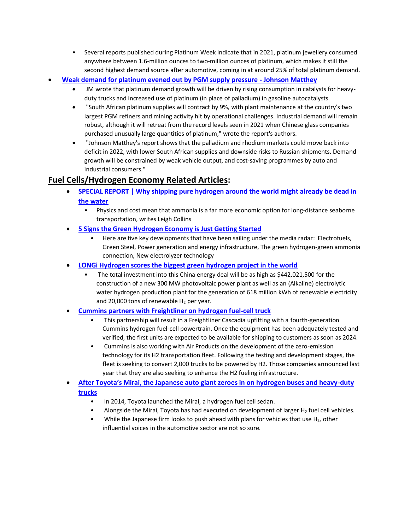- Several reports published during Platinum Week indicate that in 2021, platinum jewellery consumed anywhere between 1.6-million ounces to two-million ounces of platinum, which makes it still the second highest demand source after automotive, coming in at around 25% of total platinum demand.
- **[Weak demand for platinum evened out by PGM supply pressure -](https://www.kitco.com/news/2022-05-16/Weak-demand-for-platinum-evened-out-by-PGM-supply-pressure-Johnson-Matthey.html) Johnson Matthey**
	- JM wrote that platinum demand growth will be driven by rising consumption in catalysts for heavyduty trucks and increased use of platinum (in place of palladium) in gasoline autocatalysts.
	- "South African platinum supplies will contract by 9%, with plant maintenance at the country's two largest PGM refiners and mining activity hit by operational challenges. Industrial demand will remain robust, although it will retreat from the record levels seen in 2021 when Chinese glass companies purchased unusually large quantities of platinum," wrote the report's authors.
	- "Johnson Matthey's report shows that the palladium and rhodium markets could move back into deficit in 2022, with lower South African supplies and downside risks to Russian shipments. Demand growth will be constrained by weak vehicle output, and cost-saving programmes by auto and industrial consumers."

# **Fuel Cells/Hydrogen Economy Related Articles:**

- **[SPECIAL REPORT | Why shipping pure hydrogen around the world might already be dead in](https://www.rechargenews.com/energy-transition/special-report-why-shipping-pure-hydrogen-around-the-world-might-already-be-dead-in-the-water/2-1-1155434)  [the water](https://www.rechargenews.com/energy-transition/special-report-why-shipping-pure-hydrogen-around-the-world-might-already-be-dead-in-the-water/2-1-1155434)**
	- Physics and cost mean that ammonia is a far more economic option for long-distance seaborne transportation, writes Leigh Collins
- **[5 Signs the Green Hydrogen Economy is Just Getting Started](https://www.triplepundit.com/story/2022/5-green-hydrogen-developments/743821)**
	- Here are five key developments that have been sailing under the media radar: Electrofuels, Green Steel, Power generation and energy infrastructure, The green hydrogen-green ammonia connection, New electrolyzer technology
- **[LONGi Hydrogen scores the biggest green hydrogen project in the world](https://www.hydrogenfuelnews.com/green-hydrogen-project-longi/8552683/?awt_a=1jpsU&awt_l=LyQiC&awt_m=iyWg.0s5485DlsU)**
	- The total investment into this China energy deal will be as high as \$442,021,500 for the construction of a new 300 MW photovoltaic power plant as well as an (Alkaline) electrolytic water hydrogen production plant for the generation of 618 million kWh of renewable electricity and 20,000 tons of renewable  $H_2$  per year.
- **[Cummins partners with Freightliner on hydrogen fuel-cell truck](https://www.hydrogenfuelnews.com/hydrogen-fuel-cell-truck-na/8552694/?awt_a=1jpsU&awt_l=LyQiC&awt_m=iyWg.0s5485DlsU)**
	- This partnership will result in a Freightliner Cascadia upfitting with a fourth-generation Cummins hydrogen fuel-cell powertrain. Once the equipment has been adequately tested and verified, the first units are expected to be available for shipping to customers as soon as 2024.
	- Cummins is also working with Air Products on the development of the zero-emission technology for its H2 transportation fleet. Following the testing and development stages, the fleet is seeking to convert 2,000 trucks to be powered by H2. Those companies announced last year that they are also seeking to enhance the H2 fueling infrastructure.
- **After Toyota's Mirai, the Japa[nese auto giant zeroes in on hydrogen buses and heavy-duty](https://www.cnbc.com/2022/05/18/toyota-ramps-up-efforts-to-look-at-potential-of-hydrogen-vehicles.html)  [trucks](https://www.cnbc.com/2022/05/18/toyota-ramps-up-efforts-to-look-at-potential-of-hydrogen-vehicles.html)**
	- In 2014, Toyota launched the Mirai, a hydrogen fuel cell sedan.
	- Alongside the Mirai, Toyota has had executed on development of larger  $H_2$  fuel cell vehicles.
	- While the Japanese firm looks to push ahead with plans for vehicles that use  $H_2$ , other influential voices in the automotive sector are not so sure.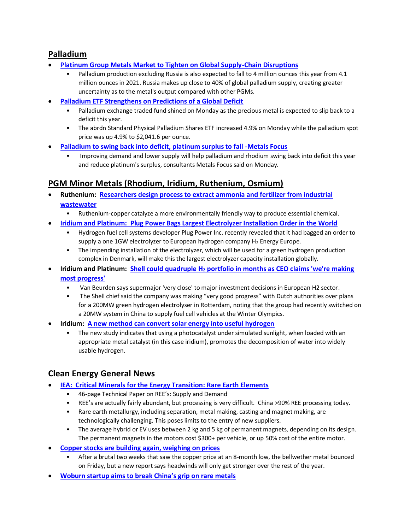## **Palladium**

- **[Platinum Group Metals Market to Tighten on Global Supply-Chain Disruptions](https://www.marketwatch.com/story/platinum-group-metals-market-to-tighten-on-global-supply-chain-disruptions-271652702405)**
	- Palladium production excluding Russia is also expected to fall to 4 million ounces this year from 4.1 million ounces in 2021. Russia makes up close to 40% of global palladium supply, creating greater uncertainty as to the metal's output compared with other PGMs.
- **[Palladium ETF Strengthens on Predictions of a Global Deficit](https://www.nasdaq.com/articles/palladium-etf-strengthens-on-predictions-of-a-global-deficit)**
	- Palladium exchange traded fund shined on Monday as the precious metal is expected to slip back to a deficit this year.
	- The abrdn Standard Physical Palladium Shares ETF increased 4.9% on Monday while the palladium spot price was up 4.9% to \$2,041.6 per ounce.
- **[Palladium to swing back into deficit, platinum surplus to fall -Metals Focus](https://www.nasdaq.com/articles/palladium-to-swing-back-into-deficit-platinum-surplus-to-fall-metals-focus)**
	- Improving demand and lower supply will help palladium and rhodium swing back into deficit this year and reduce platinum's surplus, consultants Metals Focus said on Monday.

# **PGM Minor Metals (Rhodium, Iridium, Ruthenium, Osmium)**

- **Ruthenium: [Researchers design process to extract ammonia and fertilizer from industrial](https://www.watertechonline.com/industry/article/14276588/researchers-design-process-to-extract-ammonia-and-fertilizer-from-industrial-wastewater)  [wastewater](https://www.watertechonline.com/industry/article/14276588/researchers-design-process-to-extract-ammonia-and-fertilizer-from-industrial-wastewater)**
	- Ruthenium-copper catalyze a more environmentally friendly way to produce essential chemical.
- **[Iridium and Platinum: Plug Power Bags Largest Electrolyzer Installation Order in the World](https://www.nasdaq.com/articles/plug-power-bags-largest-electrolyzer-installation-order-in-the-world)**
	- Hydrogen fuel cell systems developer Plug Power Inc. recently revealed that it had bagged an order to supply a one 1GW electrolyzer to European hydrogen company  $H_2$  Energy Europe.
	- The impending installation of the electrolyzer, which will be used for a green hydrogen production complex in Denmark, will make this the largest electrolyzer capacity installation globally.
- **Iridium and Platinum: Shell could quadruple H<sup>2</sup> [portfolio in months as CEO claims 'we're making](https://www.rechargenews.com/energy-transition/shell-could-quadruple-hydrogen-portfolio-in-months-as-ceo-claims-were-making-most-progress/2-1-1214558)  [most progress'](https://www.rechargenews.com/energy-transition/shell-could-quadruple-hydrogen-portfolio-in-months-as-ceo-claims-were-making-most-progress/2-1-1214558)**
	- Van Beurden says supermajor 'very close' to major investment decisions in European H2 sector.
	- The Shell chief said the company was making "very good progress" with Dutch authorities over plans for a 200MW green hydrogen electrolyser in Rotterdam, noting that the group had recently switched on a 20MW system in China to supply fuel cell vehicles at the Winter Olympics.
- **Iridium: [A new method can convert solar energy into useful hydrogen](https://interestingengineering.com/method-convert-solar-hydrogen)**
	- The new study indicates that using a photocatalyst under simulated sunlight, when loaded with an appropriate metal catalyst (in this case iridium), promotes the decomposition of water into widely usable hydrogen.

## **Clean Energy General News**

- **IEA: Critical [Minerals for the Energy Transition: Rare Earth Elements](https://irena.org/-/media/Files/IRENA/Agency/Technical-Papers/IRENA_Rare_Earth_Elements_2022.pdf)**
	- 46-page Technical Paper on REE's: Supply and Demand
	- REE's are actually fairly abundant, but processing is very difficult. China >90% REE processing today.
	- Rare earth metallurgy, including separation, metal making, casting and magnet making, are technologically challenging. This poses limits to the entry of new suppliers.
	- The average hybrid or EV uses between 2 kg and 5 kg of permanent magnets, depending on its design. The permanent magnets in the motors cost \$300+ per vehicle, or up 50% cost of the entire motor.
- **[Copper stocks are building again, weighing on prices](https://www.mining.com/copper-stocks-are-building-again-weighing-on-prices/)**
	- After a brutal two weeks that saw the copper price at an 8-month low, the bellwether metal bounced on Friday, but a new report says headwinds will only get stronger over the rest of the year.
- **[Woburn startup aims to break China's grip on rare metals](https://www.bostonglobe.com/2022/05/12/business/woburn-startup-aims-break-chinas-grip-rare-metals/)**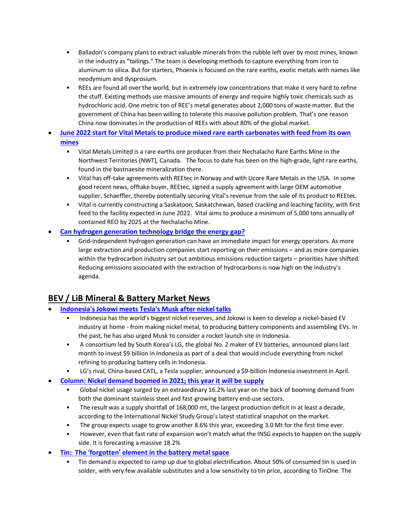- Balladon's company plans to extract valuable minerals from the rubble left over by most mines, known in the industry as "tailings." The team is developing methods to capture everything from iron to aluminum to silica. But for starters, Phoenix is focused on the rare earths, exotic metals with names like neodymium and dysprosium.
- REEs are found all over the world, but in extremely low concentrations that make it very hard to refine the stuff. Existing methods use massive amounts of energy and require highly toxic chemicals such as hydrochloric acid. One metric ton of REE's metal generates about 2,000 tons of waste matter. But the government of China has been willing to tolerate this massive pollution problem. That's one reason China now dominates in the production of REEs with about 80% of the global market.
- **[June 2022 start for Vital Metals to produce mixed rare earth carbonates with feed from its own](https://investorintel.com/markets/technology-metals/technology-metals-intel/june-2022-start-for-vital-metals-to-produce-mixed-rare-earth-carbonates-with-feed-from-its-own-mines/)  [mines](https://investorintel.com/markets/technology-metals/technology-metals-intel/june-2022-start-for-vital-metals-to-produce-mixed-rare-earth-carbonates-with-feed-from-its-own-mines/)**
	- Vital Metals Limited is a rare earths ore producer from their Nechalacho Rare Earths Mine in the Northwest Territories (NWT), Canada. The focus to date has been on the high-grade, light rare earths, found in the bastnaesite mineralization there.
	- Vital has off-take agreements with REEtec in Norway and with Ucore Rare Metals in the USA. In some good recent news, offtake buyer, REEtec, signed a supply agreement with large OEM automotive supplier, Schaeffler, thereby potentially securing Vital's revenue from the sale of its product to REEtec.
	- Vital is currently constructing a Saskatoon, Saskatchewan, based cracking and leaching facility, with first feed to the facility expected in June 2022. Vital aims to produce a minimum of 5,000 tons annually of contained REO by 2025 at the Nechalacho Mine.
- **[Can hydrogen generation technology bridge the energy gap?](https://energydigital.com/renewable-energy/can-hydrogen-generation-technology-bridge-the-gap)**
	- Grid-independent hydrogen generation can have an immediate impact for energy operators. As more large extraction and production companies start reporting on their emissions – and as more companies within the hydrocarbon industry set out ambitious emissions reduction targets – priorities have shifted. Reducing emissions associated with the extraction of hydrocarbons is now high on the industry's agenda.

# **BEV / LiB Mineral & Battery Market News**

- **[Indonesia's Jokowi meets Tesla's Musk after nickel talks](https://www.reuters.com/world/asia-pacific/indonesias-jokowi-meets-teslas-musk-after-nickel-talks-2022-05-15/)**
	- Indonesia has the world's biggest nickel reserves, and Jokowi is keen to develop a nickel-based EV industry at home - from making nickel metal, to producing battery components and assembling EVs. In the past, he has also urged Musk to consider a rocket launch site in Indonesia.
	- A consortium led by South Korea's LG, the global No. 2 maker of EV batteries, announced plans last month to invest \$9 billion in Indonesia as part of a deal that would include everything from nickel refining to producing battery cells in Indonesia.
	- LG's rival, China-based CATL, a Tesla supplier, announced a \$9-billion Indonesia investment in April.
- **[Column: Nickel demand boomed in 2021; this year it will be supply](https://www.mining.com/web/column-nickel-demand-boomed-in-2021-this-year-it-will-be-supply/)**
	- Global nickel usage surged by an extraordinary 16.2% last year on the back of booming demand from both the dominant stainless steel and fast-growing battery end-use sectors.
	- The result was a supply shortfall of 168,000 mt, the largest production deficit in at least a decade, according to the International Nickel Study Group's latest statistical snapshot on the market.
	- The group expects usage to grow another 8.6% this year, exceeding 3.0 Mt for the first time ever.
	- However, even that fast rate of expansion won't match what the INSG expects to happen on the supply side. It is forecasting a massive 18.2%
- **[Tin: The 'forgotten' element in the battery metal space](https://www.kitco.com/news/2022-05-19/The-forgotten-element-in-the-battery-metal-space-TinOne-Resources-Chris-Donaldson.html)**
	- Tin demand is expected to ramp up due to global electrification. About 50% of consumed tin is used in solder, with very few available substitutes and a low sensitivity to tin price, according to TinOne. The